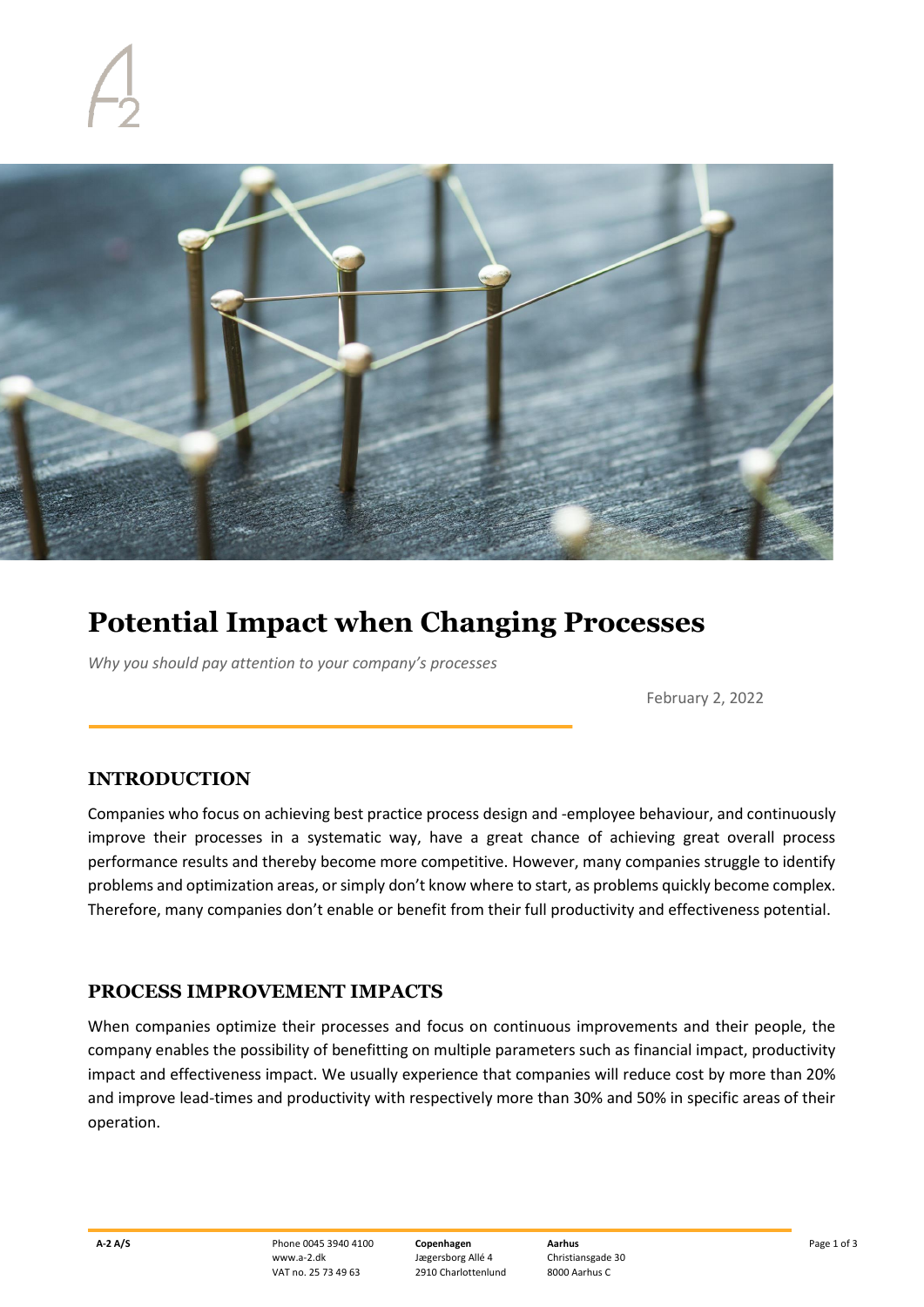

# **Potential Impact when Changing Processes**

*Why you should pay attention to your company's processes*

February 2, 2022

# **INTRODUCTION**

Companies who focus on achieving best practice process design and -employee behaviour, and continuously improve their processes in a systematic way, have a great chance of achieving great overall process performance results and thereby become more competitive. However, many companies struggle to identify problems and optimization areas, or simply don't know where to start, as problems quickly become complex. Therefore, many companies don't enable or benefit from their full productivity and effectiveness potential.

### **PROCESS IMPROVEMENT IMPACTS**

When companies optimize their processes and focus on continuous improvements and their people, the company enables the possibility of benefitting on multiple parameters such as financial impact, productivity impact and effectiveness impact. We usually experience that companies will reduce cost by more than 20% and improve lead-times and productivity with respectively more than 30% and 50% in specific areas of their operation.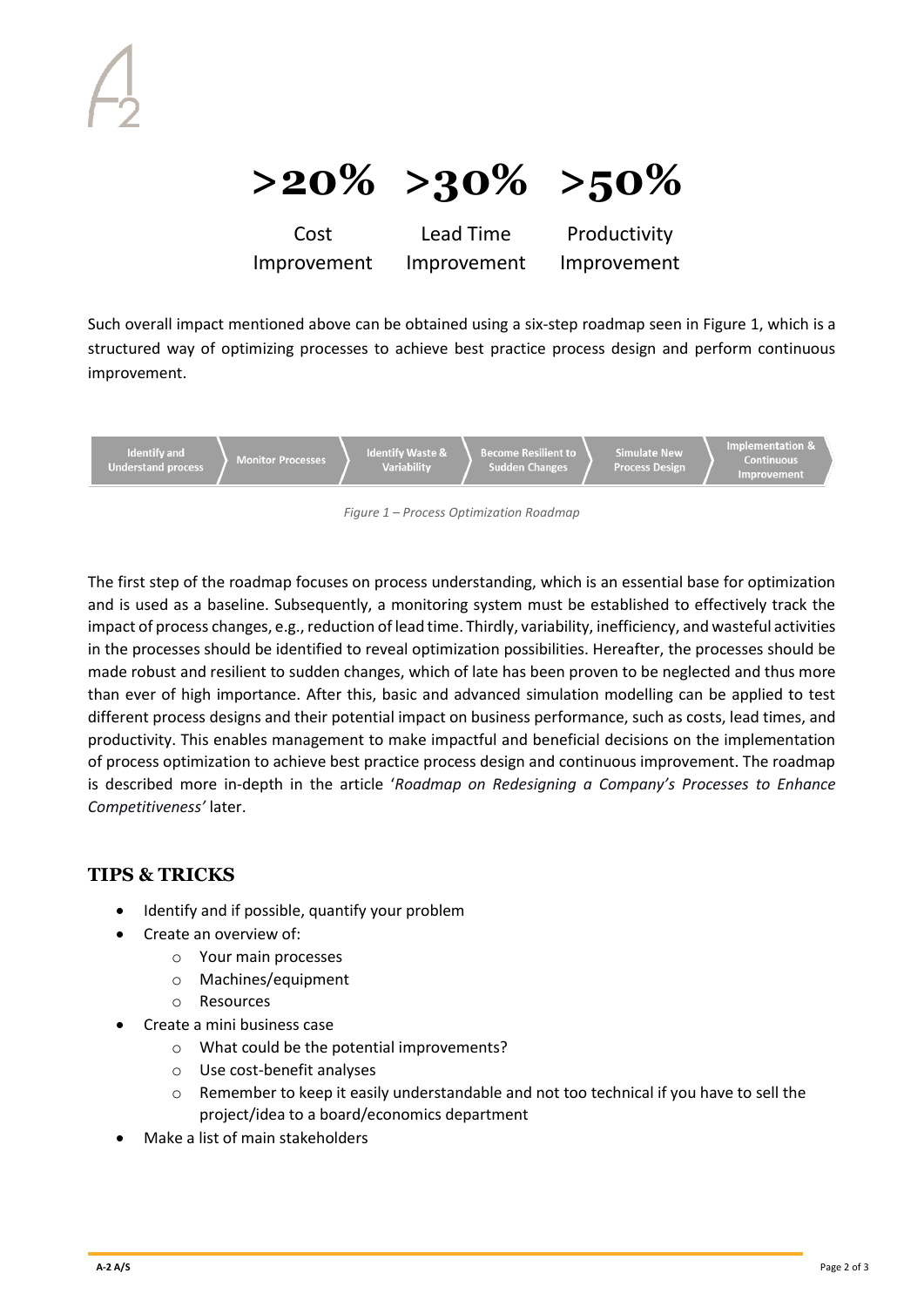

Cost Improvement Improvement

Lead Time Productivity Improvement

Such overall impact mentioned above can be obtained using a six-step roadmap seen in Figure 1, which is a structured way of optimizing processes to achieve best practice process design and perform continuous improvement.



*Figure 1 – Process Optimization Roadmap*

The first step of the roadmap focuses on process understanding, which is an essential base for optimization and is used as a baseline. Subsequently, a monitoring system must be established to effectively track the impact of process changes, e.g., reduction of lead time. Thirdly, variability, inefficiency, and wasteful activities in the processes should be identified to reveal optimization possibilities. Hereafter, the processes should be made robust and resilient to sudden changes, which of late has been proven to be neglected and thus more than ever of high importance. After this, basic and advanced simulation modelling can be applied to test different process designs and their potential impact on business performance, such as costs, lead times, and productivity. This enables management to make impactful and beneficial decisions on the implementation of process optimization to achieve best practice process design and continuous improvement. The roadmap is described more in-depth in the article '*Roadmap on Redesigning a Company's Processes to Enhance Competitiveness'* later.

# **TIPS & TRICKS**

- Identify and if possible, quantify your problem
- Create an overview of:
	- o Your main processes
	- o Machines/equipment
	- o Resources
	- Create a mini business case
		- o What could be the potential improvements?
		- o Use cost-benefit analyses
		- o Remember to keep it easily understandable and not too technical if you have to sell the project/idea to a board/economics department
- Make a list of main stakeholders